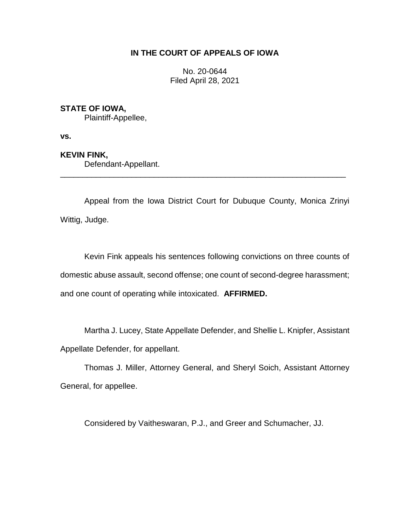## **IN THE COURT OF APPEALS OF IOWA**

No. 20-0644 Filed April 28, 2021

## **STATE OF IOWA,**

Plaintiff-Appellee,

**vs.**

## **KEVIN FINK,**

Defendant-Appellant.

Appeal from the Iowa District Court for Dubuque County, Monica Zrinyi Wittig, Judge.

\_\_\_\_\_\_\_\_\_\_\_\_\_\_\_\_\_\_\_\_\_\_\_\_\_\_\_\_\_\_\_\_\_\_\_\_\_\_\_\_\_\_\_\_\_\_\_\_\_\_\_\_\_\_\_\_\_\_\_\_\_\_\_\_

Kevin Fink appeals his sentences following convictions on three counts of domestic abuse assault, second offense; one count of second-degree harassment; and one count of operating while intoxicated. **AFFIRMED.**

Martha J. Lucey, State Appellate Defender, and Shellie L. Knipfer, Assistant Appellate Defender, for appellant.

Thomas J. Miller, Attorney General, and Sheryl Soich, Assistant Attorney General, for appellee.

Considered by Vaitheswaran, P.J., and Greer and Schumacher, JJ.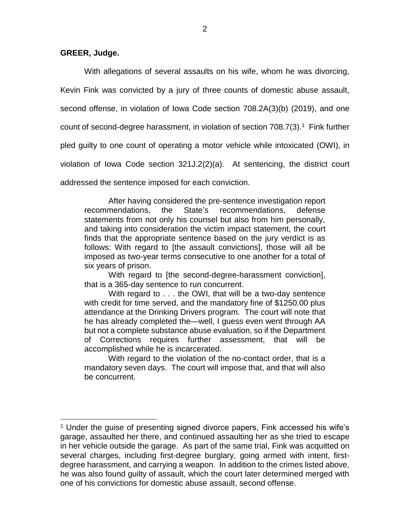### **GREER, Judge.**

 $\overline{a}$ 

With allegations of several assaults on his wife, whom he was divorcing, Kevin Fink was convicted by a jury of three counts of domestic abuse assault, second offense, in violation of Iowa Code section 708.2A(3)(b) (2019), and one count of second-degree harassment, in violation of section  $708.7(3)$ .<sup>1</sup> Fink further pled guilty to one count of operating a motor vehicle while intoxicated (OWI), in violation of Iowa Code section 321J.2(2)(a). At sentencing, the district court addressed the sentence imposed for each conviction.

After having considered the pre-sentence investigation report recommendations, the State's recommendations, defense statements from not only his counsel but also from him personally, and taking into consideration the victim impact statement, the court finds that the appropriate sentence based on the jury verdict is as follows: With regard to [the assault convictions], those will all be imposed as two-year terms consecutive to one another for a total of six years of prison.

With regard to [the second-degree-harassment conviction], that is a 365-day sentence to run concurrent.

With regard to . . . the OWI, that will be a two-day sentence with credit for time served, and the mandatory fine of \$1250.00 plus attendance at the Drinking Drivers program. The court will note that he has already completed the—well, I guess even went through AA but not a complete substance abuse evaluation, so if the Department of Corrections requires further assessment, that will be accomplished while he is incarcerated.

With regard to the violation of the no-contact order, that is a mandatory seven days. The court will impose that, and that will also be concurrent.

<sup>&</sup>lt;sup>1</sup> Under the quise of presenting signed divorce papers, Fink accessed his wife's garage, assaulted her there, and continued assaulting her as she tried to escape in her vehicle outside the garage. As part of the same trial, Fink was acquitted on several charges, including first-degree burglary, going armed with intent, firstdegree harassment, and carrying a weapon. In addition to the crimes listed above, he was also found guilty of assault, which the court later determined merged with one of his convictions for domestic abuse assault, second offense.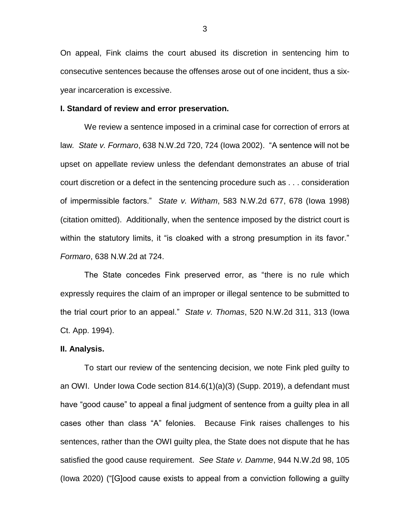On appeal, Fink claims the court abused its discretion in sentencing him to consecutive sentences because the offenses arose out of one incident, thus a sixyear incarceration is excessive.

#### **I. Standard of review and error preservation.**

We review a sentence imposed in a criminal case for correction of errors at law*. State v. Formaro*, 638 N.W.2d 720, 724 (Iowa 2002). "A sentence will not be upset on appellate review unless the defendant demonstrates an abuse of trial court discretion or a defect in the sentencing procedure such as . . . consideration of impermissible factors." *State v. Witham*, 583 N.W.2d 677, 678 (Iowa 1998) (citation omitted). Additionally, when the sentence imposed by the district court is within the statutory limits, it "is cloaked with a strong presumption in its favor." *Formaro*, 638 N.W.2d at 724.

The State concedes Fink preserved error, as "there is no rule which expressly requires the claim of an improper or illegal sentence to be submitted to the trial court prior to an appeal." *State v. Thomas*, 520 N.W.2d 311, 313 (Iowa Ct. App. 1994).

#### **II. Analysis.**

To start our review of the sentencing decision, we note Fink pled guilty to an OWI. Under Iowa Code section 814.6(1)(a)(3) (Supp. 2019), a defendant must have "good cause" to appeal a final judgment of sentence from a guilty plea in all cases other than class "A" felonies. Because Fink raises challenges to his sentences, rather than the OWI guilty plea, the State does not dispute that he has satisfied the good cause requirement. *See State v. Damme*, 944 N.W.2d 98, 105 (Iowa 2020) ("[G]ood cause exists to appeal from a conviction following a guilty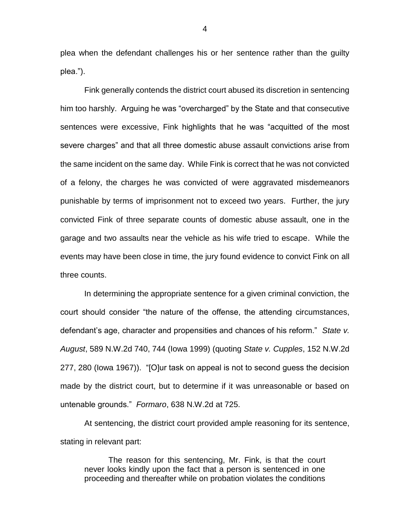plea when the defendant challenges his or her sentence rather than the guilty plea.").

Fink generally contends the district court abused its discretion in sentencing him too harshly. Arguing he was "overcharged" by the State and that consecutive sentences were excessive, Fink highlights that he was "acquitted of the most severe charges" and that all three domestic abuse assault convictions arise from the same incident on the same day. While Fink is correct that he was not convicted of a felony, the charges he was convicted of were aggravated misdemeanors punishable by terms of imprisonment not to exceed two years. Further, the jury convicted Fink of three separate counts of domestic abuse assault, one in the garage and two assaults near the vehicle as his wife tried to escape. While the events may have been close in time, the jury found evidence to convict Fink on all three counts.

In determining the appropriate sentence for a given criminal conviction, the court should consider "the nature of the offense, the attending circumstances, defendant's age, character and propensities and chances of his reform." *State v. August*, 589 N.W.2d 740, 744 (Iowa 1999) (quoting *State v. Cupples*, 152 N.W.2d 277, 280 (Iowa 1967)). "[O]ur task on appeal is not to second guess the decision made by the district court, but to determine if it was unreasonable or based on untenable grounds." *Formaro*, 638 N.W.2d at 725.

At sentencing, the district court provided ample reasoning for its sentence, stating in relevant part:

The reason for this sentencing, Mr. Fink, is that the court never looks kindly upon the fact that a person is sentenced in one proceeding and thereafter while on probation violates the conditions

4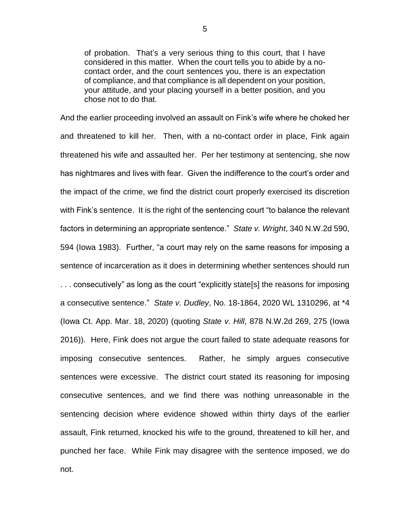of probation. That's a very serious thing to this court, that I have considered in this matter. When the court tells you to abide by a nocontact order, and the court sentences you, there is an expectation of compliance, and that compliance is all dependent on your position, your attitude, and your placing yourself in a better position, and you chose not to do that.

And the earlier proceeding involved an assault on Fink's wife where he choked her and threatened to kill her. Then, with a no-contact order in place, Fink again threatened his wife and assaulted her. Per her testimony at sentencing, she now has nightmares and lives with fear. Given the indifference to the court's order and the impact of the crime, we find the district court properly exercised its discretion with Fink's sentence. It is the right of the sentencing court "to balance the relevant factors in determining an appropriate sentence." *State v. Wright*, 340 N.W.2d 590, 594 (Iowa 1983). Further, "a court may rely on the same reasons for imposing a sentence of incarceration as it does in determining whether sentences should run . . . consecutively" as long as the court "explicitly state[s] the reasons for imposing a consecutive sentence." *State v. Dudley*, No. 18-1864, 2020 WL 1310296, at \*4 (Iowa Ct. App. Mar. 18, 2020) (quoting *State v. Hill*, 878 N.W.2d 269, 275 (Iowa 2016)). Here, Fink does not argue the court failed to state adequate reasons for imposing consecutive sentences. Rather, he simply argues consecutive sentences were excessive. The district court stated its reasoning for imposing consecutive sentences, and we find there was nothing unreasonable in the sentencing decision where evidence showed within thirty days of the earlier assault, Fink returned, knocked his wife to the ground, threatened to kill her, and punched her face. While Fink may disagree with the sentence imposed, we do not.